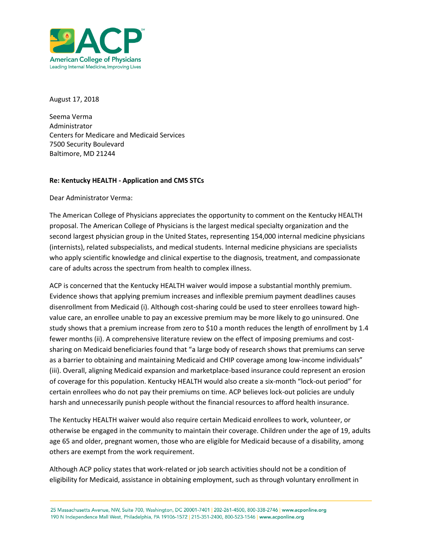

August 17, 2018

Seema Verma Administrator Centers for Medicare and Medicaid Services 7500 Security Boulevard Baltimore, MD 21244

## **Re: Kentucky HEALTH - Application and CMS STCs**

Dear Administrator Verma:

The American College of Physicians appreciates the opportunity to comment on the Kentucky HEALTH proposal. The American College of Physicians is the largest medical specialty organization and the second largest physician group in the United States, representing 154,000 internal medicine physicians (internists), related subspecialists, and medical students. Internal medicine physicians are specialists who apply scientific knowledge and clinical expertise to the diagnosis, treatment, and compassionate care of adults across the spectrum from health to complex illness.

ACP is concerned that the Kentucky HEALTH waiver would impose a substantial monthly premium. Evidence shows that applying premium increases and inflexible premium payment deadlines causes disenrollment from Medicaid (i). Although cost-sharing could be used to steer enrollees toward highvalue care, an enrollee unable to pay an excessive premium may be more likely to go uninsured. One study shows that a premium increase from zero to \$10 a month reduces the length of enrollment by 1.4 fewer months (ii). A comprehensive literature review on the effect of imposing premiums and costsharing on Medicaid beneficiaries found that "a large body of research shows that premiums can serve as a barrier to obtaining and maintaining Medicaid and CHIP coverage among low-income individuals" (iii). Overall, aligning Medicaid expansion and marketplace-based insurance could represent an erosion of coverage for this population. Kentucky HEALTH would also create a six-month "lock-out period" for certain enrollees who do not pay their premiums on time. ACP believes lock-out policies are unduly harsh and unnecessarily punish people without the financial resources to afford health insurance.

The Kentucky HEALTH waiver would also require certain Medicaid enrollees to work, volunteer, or otherwise be engaged in the community to maintain their coverage. Children under the age of 19, adults age 65 and older, pregnant women, those who are eligible for Medicaid because of a disability, among others are exempt from the work requirement.

Although ACP policy states that work-related or job search activities should not be a condition of eligibility for Medicaid, assistance in obtaining employment, such as through voluntary enrollment in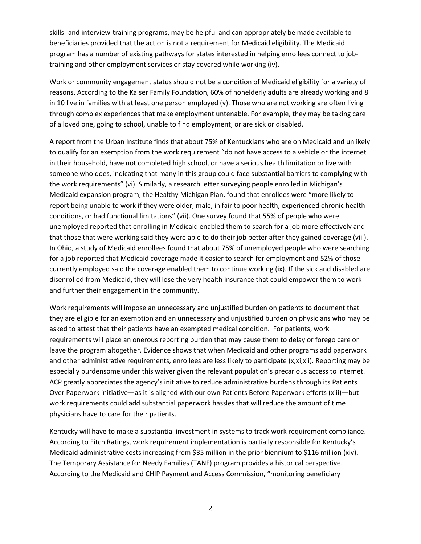skills- and interview-training programs, may be helpful and can appropriately be made available to beneficiaries provided that the action is not a requirement for Medicaid eligibility. The Medicaid program has a number of existing pathways for states interested in helping enrollees connect to jobtraining and other employment services or stay covered while working (iv).

Work or community engagement status should not be a condition of Medicaid eligibility for a variety of reasons. According to the Kaiser Family Foundation, 60% of nonelderly adults are already working and 8 in 10 live in families with at least one person employed (v). Those who are not working are often living through complex experiences that make employment untenable. For example, they may be taking care of a loved one, going to school, unable to find employment, or are sick or disabled.

A report from the Urban Institute finds that about 75% of Kentuckians who are on Medicaid and unlikely to qualify for an exemption from the work requirement "do not have access to a vehicle or the internet in their household, have not completed high school, or have a serious health limitation or live with someone who does, indicating that many in this group could face substantial barriers to complying with the work requirements" (vi). Similarly, a research letter surveying people enrolled in Michigan's Medicaid expansion program, the Healthy Michigan Plan, found that enrollees were "more likely to report being unable to work if they were older, male, in fair to poor health, experienced chronic health conditions, or had functional limitations" (vii). One survey found that 55% of people who were unemployed reported that enrolling in Medicaid enabled them to search for a job more effectively and that those that were working said they were able to do their job better after they gained coverage (viii). In Ohio, a study of Medicaid enrollees found that about 75% of unemployed people who were searching for a job reported that Medicaid coverage made it easier to search for employment and 52% of those currently employed said the coverage enabled them to continue working (ix). If the sick and disabled are disenrolled from Medicaid, they will lose the very health insurance that could empower them to work and further their engagement in the community.

Work requirements will impose an unnecessary and unjustified burden on patients to document that they are eligible for an exemption and an unnecessary and unjustified burden on physicians who may be asked to attest that their patients have an exempted medical condition. For patients, work requirements will place an onerous reporting burden that may cause them to delay or forego care or leave the program altogether. Evidence shows that when Medicaid and other programs add paperwork and other administrative requirements, enrollees are less likely to participate (x,xi,xii). Reporting may be especially burdensome under this waiver given the relevant population's precarious access to internet. ACP greatly appreciates the agency's initiative to reduce administrative burdens through its Patients Over Paperwork initiative—as it is aligned with our own Patients Before Paperwork efforts (xiii)—but work requirements could add substantial paperwork hassles that will reduce the amount of time physicians have to care for their patients.

Kentucky will have to make a substantial investment in systems to track work requirement compliance. According to Fitch Ratings, work requirement implementation is partially responsible for Kentucky's Medicaid administrative costs increasing from \$35 million in the prior biennium to \$116 million (xiv). The Temporary Assistance for Needy Families (TANF) program provides a historical perspective. According to the Medicaid and CHIP Payment and Access Commission, "monitoring beneficiary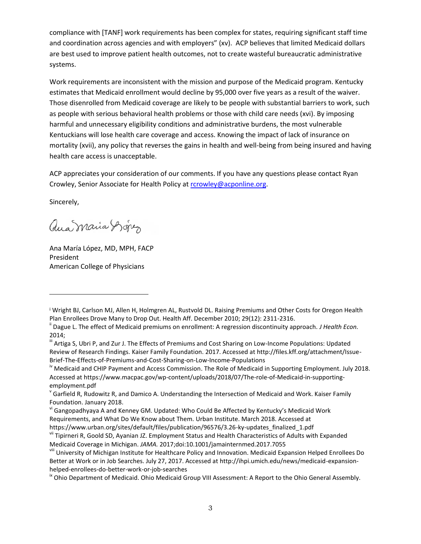compliance with [TANF] work requirements has been complex for states, requiring significant staff time and coordination across agencies and with employers" (xv). ACP believes that limited Medicaid dollars are best used to improve patient health outcomes, not to create wasteful bureaucratic administrative systems.

Work requirements are inconsistent with the mission and purpose of the Medicaid program. Kentucky estimates that Medicaid enrollment would decline by 95,000 over five years as a result of the waiver. Those disenrolled from Medicaid coverage are likely to be people with substantial barriers to work, such as people with serious behavioral health problems or those with child care needs (xvi). By imposing harmful and unnecessary eligibility conditions and administrative burdens, the most vulnerable Kentuckians will lose health care coverage and access. Knowing the impact of lack of insurance on mortality (xvii), any policy that reverses the gains in health and well-being from being insured and having health care access is unacceptable.

ACP appreciates your consideration of our comments. If you have any questions please contact Ryan Crowley, Senior Associate for Health Policy at [rcrowley@acponline.org.](mailto:rcrowley@acponline.org)

Sincerely,

l

aua maria Dopez

Ana María López, MD, MPH, FACP President American College of Physicians

vi Gangopadhyaya A and Kenney GM. Updated: Who Could Be Affected by Kentucky's Medicaid Work Requirements, and What Do We Know about Them. Urban Institute. March 2018. Accessed at https://www.urban.org/sites/default/files/publication/96576/3.26-ky-updates\_finalized\_1.pdf

 $\textsuperscript{II}$  Ohio Department of Medicaid. Ohio Medicaid Group VIII Assessment: A Report to the Ohio General Assembly.

<sup>i</sup> Wright BJ, Carlson MJ, Allen H, Holmgren AL, Rustvold DL. Raising Premiums and Other Costs for Oregon Health Plan Enrollees Drove Many to Drop Out. Health Aff. December 2010; 29(12): 2311-2316.

ii Dague L. The effect of Medicaid premiums on enrollment: A regression discontinuity approach. *J Health Econ.*  2014;

III Artiga S, Ubri P, and Zur J. The Effects of Premiums and Cost Sharing on Low-Income Populations: Updated Review of Research Findings. Kaiser Family Foundation. 2017. Accessed at http://files.kff.org/attachment/Issue-Brief-The-Effects-of-Premiums-and-Cost-Sharing-on-Low-Income-Populations

<sup>&</sup>lt;sup>iv</sup> Medicaid and CHIP Payment and Access Commission. The Role of Medicaid in Supporting Employment. July 2018. Accessed at https://www.macpac.gov/wp-content/uploads/2018/07/The-role-of-Medicaid-in-supportingemployment.pdf

v Garfield R, Rudowitz R, and Damico A. Understanding the Intersection of Medicaid and Work. Kaiser Family Foundation. January 2018.

vii Tipirneri R, Goold SD, Ayanian JZ. Employment Status and Health Characteristics of Adults with Expanded Medicaid Coverage in Michigan. *JAMA.* 2017;doi:10.1001/jamainternmed.2017.7055

viii University of Michigan Institute for Healthcare Policy and Innovation. Medicaid Expansion Helped Enrollees Do Better at Work or in Job Searches. July 27, 2017. Accessed at http://ihpi.umich.edu/news/medicaid-expansionhelped-enrollees-do-better-work-or-job-searches